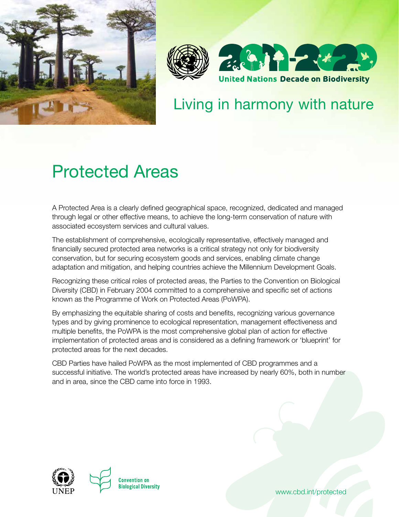



## Living in harmony with nature

# Protected Areas

A Protected Area is a clearly defined geographical space, recognized, dedicated and managed through legal or other effective means, to achieve the long-term conservation of nature with associated ecosystem services and cultural values.

The establishment of comprehensive, ecologically representative, effectively managed and financially secured protected area networks is a critical strategy not only for biodiversity conservation, but for securing ecosystem goods and services, enabling climate change adaptation and mitigation, and helping countries achieve the Millennium Development Goals.

Recognizing these critical roles of protected areas, the Parties to the Convention on Biological Diversity (CBD) in February 2004 committed to a comprehensive and specific set of actions known as the Programme of Work on Protected Areas (PoWPA).

By emphasizing the equitable sharing of costs and benefits, recognizing various governance types and by giving prominence to ecological representation, management effectiveness and multiple benefits, the PoWPA is the most comprehensive global plan of action for effective implementation of protected areas and is considered as a defining framework or 'blueprint' for protected areas for the next decades.

CBD Parties have hailed PoWPA as the most implemented of CBD programmes and a successful initiative. The world's protected areas have increased by nearly 60%, both in number and in area, since the CBD came into force in 1993.



www.cbd.int/protected